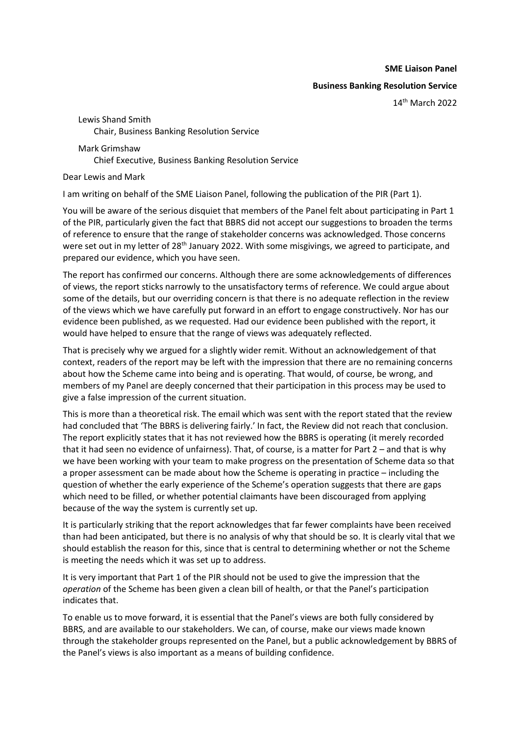**SME Liaison Panel Business Banking Resolution Service**

14th March 2022

Lewis Shand Smith Chair, Business Banking Resolution Service Mark Grimshaw

Chief Executive, Business Banking Resolution Service

Dear Lewis and Mark

I am writing on behalf of the SME Liaison Panel, following the publication of the PIR (Part 1).

You will be aware of the serious disquiet that members of the Panel felt about participating in Part 1 of the PIR, particularly given the fact that BBRS did not accept our suggestions to broaden the terms of reference to ensure that the range of stakeholder concerns was acknowledged. Those concerns were set out in my letter of 28<sup>th</sup> January 2022. With some misgivings, we agreed to participate, and prepared our evidence, which you have seen.

The report has confirmed our concerns. Although there are some acknowledgements of differences of views, the report sticks narrowly to the unsatisfactory terms of reference. We could argue about some of the details, but our overriding concern is that there is no adequate reflection in the review of the views which we have carefully put forward in an effort to engage constructively. Nor has our evidence been published, as we requested. Had our evidence been published with the report, it would have helped to ensure that the range of views was adequately reflected.

That is precisely why we argued for a slightly wider remit. Without an acknowledgement of that context, readers of the report may be left with the impression that there are no remaining concerns about how the Scheme came into being and is operating. That would, of course, be wrong, and members of my Panel are deeply concerned that their participation in this process may be used to give a false impression of the current situation.

This is more than a theoretical risk. The email which was sent with the report stated that the review had concluded that 'The BBRS is delivering fairly.' In fact, the Review did not reach that conclusion. The report explicitly states that it has not reviewed how the BBRS is operating (it merely recorded that it had seen no evidence of unfairness). That, of course, is a matter for Part 2 – and that is why we have been working with your team to make progress on the presentation of Scheme data so that a proper assessment can be made about how the Scheme is operating in practice – including the question of whether the early experience of the Scheme's operation suggests that there are gaps which need to be filled, or whether potential claimants have been discouraged from applying because of the way the system is currently set up.

It is particularly striking that the report acknowledges that far fewer complaints have been received than had been anticipated, but there is no analysis of why that should be so. It is clearly vital that we should establish the reason for this, since that is central to determining whether or not the Scheme is meeting the needs which it was set up to address.

It is very important that Part 1 of the PIR should not be used to give the impression that the *operation* of the Scheme has been given a clean bill of health, or that the Panel's participation indicates that.

To enable us to move forward, it is essential that the Panel's views are both fully considered by BBRS, and are available to our stakeholders. We can, of course, make our views made known through the stakeholder groups represented on the Panel, but a public acknowledgement by BBRS of the Panel's views is also important as a means of building confidence.